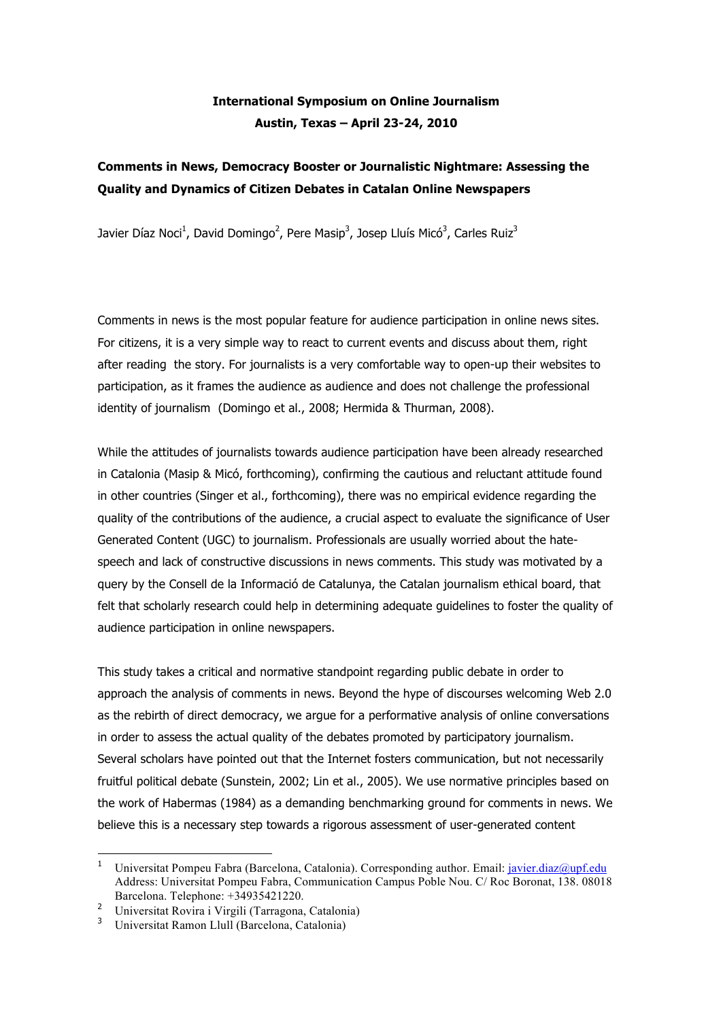# **International Symposium on Online Journalism Austin, Texas – April 23-24, 2010**

## **Comments in News, Democracy Booster or Journalistic Nightmare: Assessing the Quality and Dynamics of Citizen Debates in Catalan Online Newspapers**

Javier Díaz Noci<sup>1</sup>, David Domingo<sup>2</sup>, Pere Masip<sup>3</sup>, Josep Lluís Micó<sup>3</sup>, Carles Ruiz<sup>3</sup>

Comments in news is the most popular feature for audience participation in online news sites. For citizens, it is a very simple way to react to current events and discuss about them, right after reading the story. For journalists is a very comfortable way to open-up their websites to participation, as it frames the audience as audience and does not challenge the professional identity of journalism (Domingo et al., 2008; Hermida & Thurman, 2008).

While the attitudes of journalists towards audience participation have been already researched in Catalonia (Masip & Micó, forthcoming), confirming the cautious and reluctant attitude found in other countries (Singer et al., forthcoming), there was no empirical evidence regarding the quality of the contributions of the audience, a crucial aspect to evaluate the significance of User Generated Content (UGC) to journalism. Professionals are usually worried about the hatespeech and lack of constructive discussions in news comments. This study was motivated by a query by the Consell de la Informació de Catalunya, the Catalan journalism ethical board, that felt that scholarly research could help in determining adequate guidelines to foster the quality of audience participation in online newspapers.

This study takes a critical and normative standpoint regarding public debate in order to approach the analysis of comments in news. Beyond the hype of discourses welcoming Web 2.0 as the rebirth of direct democracy, we argue for a performative analysis of online conversations in order to assess the actual quality of the debates promoted by participatory journalism. Several scholars have pointed out that the Internet fosters communication, but not necessarily fruitful political debate (Sunstein, 2002; Lin et al., 2005). We use normative principles based on the work of Habermas (1984) as a demanding benchmarking ground for comments in news. We believe this is a necessary step towards a rigorous assessment of user-generated content

 $\overline{a}$ 

Universitat Pompeu Fabra (Barcelona, Catalonia). Corresponding author. Email: *javier.diaz@upf.edu* Address: Universitat Pompeu Fabra, Communication Campus Poble Nou. C/ Roc Boronat, 138. 08018 Barcelona. Telephone: +34935421220.

<sup>2</sup> Universitat Rovira i Virgili (Tarragona, Catalonia)

<sup>&</sup>lt;sup>3</sup> Universitat Ramon Llull (Barcelona, Catalonia)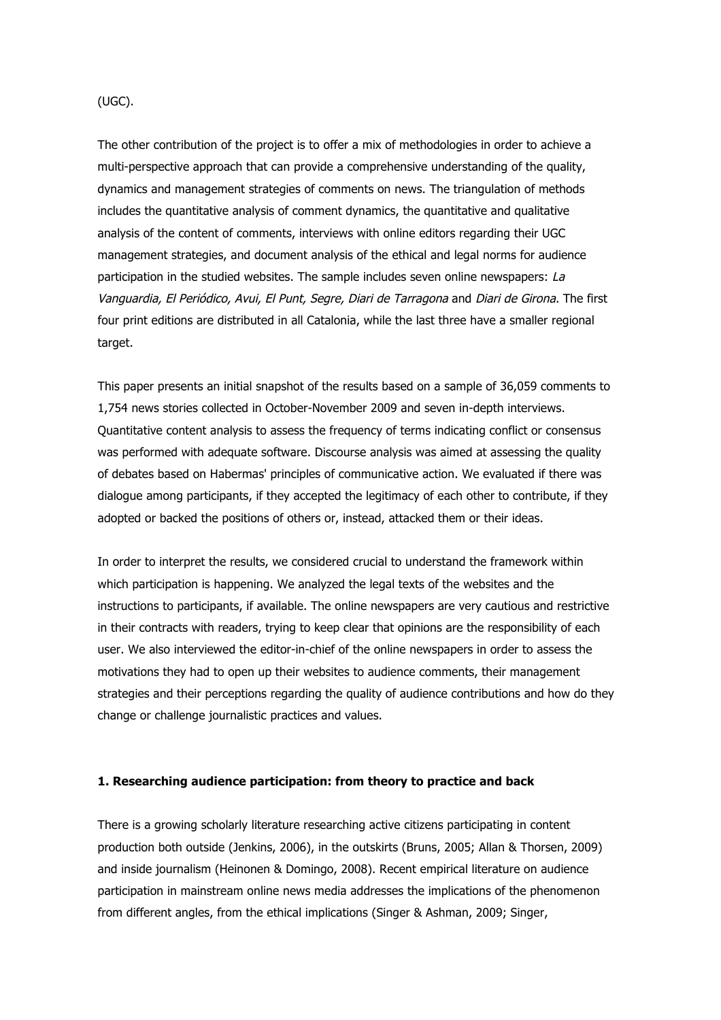#### (UGC).

The other contribution of the project is to offer a mix of methodologies in order to achieve a multi-perspective approach that can provide a comprehensive understanding of the quality, dynamics and management strategies of comments on news. The triangulation of methods includes the quantitative analysis of comment dynamics, the quantitative and qualitative analysis of the content of comments, interviews with online editors regarding their UGC management strategies, and document analysis of the ethical and legal norms for audience participation in the studied websites. The sample includes seven online newspapers: La Vanguardia, El Periódico, Avui, El Punt, Segre, Diari de Tarragona and Diari de Girona. The first four print editions are distributed in all Catalonia, while the last three have a smaller regional target.

This paper presents an initial snapshot of the results based on a sample of 36,059 comments to 1,754 news stories collected in October-November 2009 and seven in-depth interviews. Quantitative content analysis to assess the frequency of terms indicating conflict or consensus was performed with adequate software. Discourse analysis was aimed at assessing the quality of debates based on Habermas' principles of communicative action. We evaluated if there was dialogue among participants, if they accepted the legitimacy of each other to contribute, if they adopted or backed the positions of others or, instead, attacked them or their ideas.

In order to interpret the results, we considered crucial to understand the framework within which participation is happening. We analyzed the legal texts of the websites and the instructions to participants, if available. The online newspapers are very cautious and restrictive in their contracts with readers, trying to keep clear that opinions are the responsibility of each user. We also interviewed the editor-in-chief of the online newspapers in order to assess the motivations they had to open up their websites to audience comments, their management strategies and their perceptions regarding the quality of audience contributions and how do they change or challenge journalistic practices and values.

#### **1. Researching audience participation: from theory to practice and back**

There is a growing scholarly literature researching active citizens participating in content production both outside (Jenkins, 2006), in the outskirts (Bruns, 2005; Allan & Thorsen, 2009) and inside journalism (Heinonen & Domingo, 2008). Recent empirical literature on audience participation in mainstream online news media addresses the implications of the phenomenon from different angles, from the ethical implications (Singer & Ashman, 2009; Singer,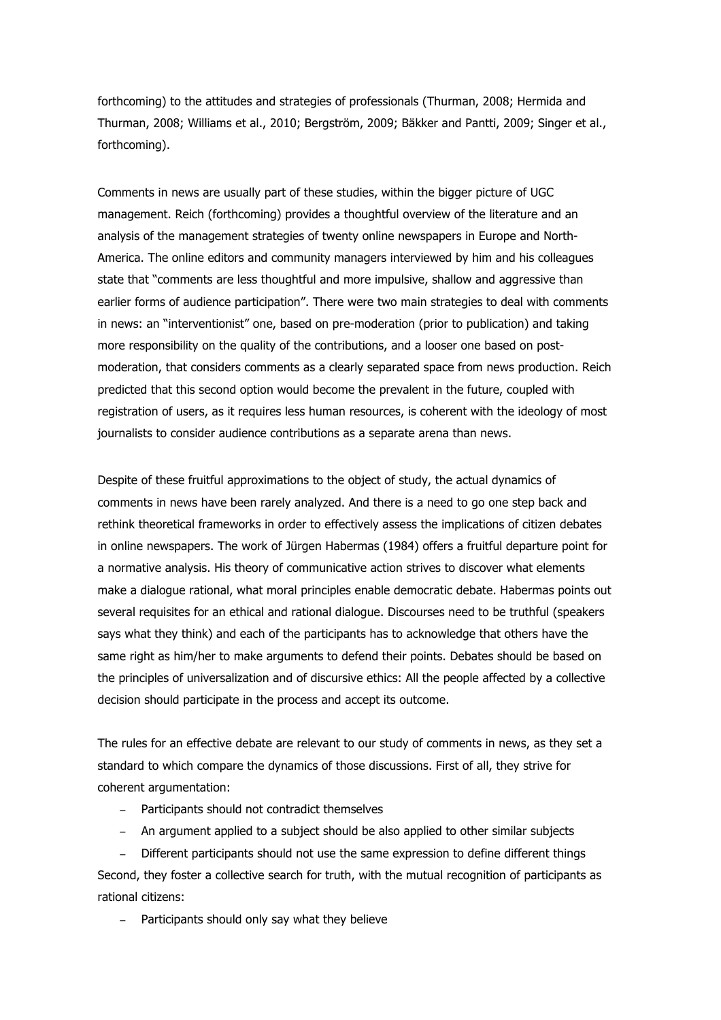forthcoming) to the attitudes and strategies of professionals (Thurman, 2008; Hermida and Thurman, 2008; Williams et al., 2010; Bergström, 2009; Bäkker and Pantti, 2009; Singer et al., forthcoming).

Comments in news are usually part of these studies, within the bigger picture of UGC management. Reich (forthcoming) provides a thoughtful overview of the literature and an analysis of the management strategies of twenty online newspapers in Europe and North-America. The online editors and community managers interviewed by him and his colleagues state that "comments are less thoughtful and more impulsive, shallow and aggressive than earlier forms of audience participation". There were two main strategies to deal with comments in news: an "interventionist" one, based on pre-moderation (prior to publication) and taking more responsibility on the quality of the contributions, and a looser one based on postmoderation, that considers comments as a clearly separated space from news production. Reich predicted that this second option would become the prevalent in the future, coupled with registration of users, as it requires less human resources, is coherent with the ideology of most journalists to consider audience contributions as a separate arena than news.

Despite of these fruitful approximations to the object of study, the actual dynamics of comments in news have been rarely analyzed. And there is a need to go one step back and rethink theoretical frameworks in order to effectively assess the implications of citizen debates in online newspapers. The work of Jürgen Habermas (1984) offers a fruitful departure point for a normative analysis. His theory of communicative action strives to discover what elements make a dialogue rational, what moral principles enable democratic debate. Habermas points out several requisites for an ethical and rational dialogue. Discourses need to be truthful (speakers says what they think) and each of the participants has to acknowledge that others have the same right as him/her to make arguments to defend their points. Debates should be based on the principles of universalization and of discursive ethics: All the people affected by a collective decision should participate in the process and accept its outcome.

The rules for an effective debate are relevant to our study of comments in news, as they set a standard to which compare the dynamics of those discussions. First of all, they strive for coherent argumentation:

- Participants should not contradict themselves
- An argument applied to a subject should be also applied to other similar subjects

- Different participants should not use the same expression to define different things Second, they foster a collective search for truth, with the mutual recognition of participants as rational citizens:

Participants should only say what they believe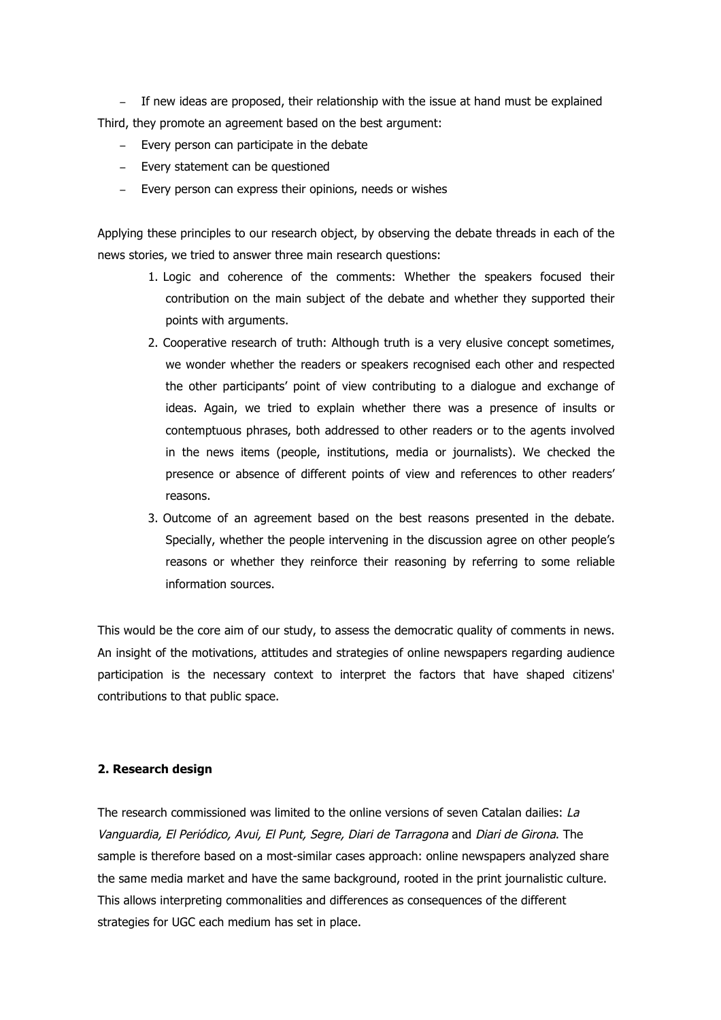- If new ideas are proposed, their relationship with the issue at hand must be explained Third, they promote an agreement based on the best argument:

- Every person can participate in the debate
- Every statement can be questioned
- Every person can express their opinions, needs or wishes

Applying these principles to our research object, by observing the debate threads in each of the news stories, we tried to answer three main research questions:

- 1. Logic and coherence of the comments: Whether the speakers focused their contribution on the main subject of the debate and whether they supported their points with arguments.
- 2. Cooperative research of truth: Although truth is a very elusive concept sometimes, we wonder whether the readers or speakers recognised each other and respected the other participants' point of view contributing to a dialogue and exchange of ideas. Again, we tried to explain whether there was a presence of insults or contemptuous phrases, both addressed to other readers or to the agents involved in the news items (people, institutions, media or journalists). We checked the presence or absence of different points of view and references to other readers' reasons.
- 3. Outcome of an agreement based on the best reasons presented in the debate. Specially, whether the people intervening in the discussion agree on other people's reasons or whether they reinforce their reasoning by referring to some reliable information sources.

This would be the core aim of our study, to assess the democratic quality of comments in news. An insight of the motivations, attitudes and strategies of online newspapers regarding audience participation is the necessary context to interpret the factors that have shaped citizens' contributions to that public space.

#### **2. Research design**

The research commissioned was limited to the online versions of seven Catalan dailies: La Vanguardia, El Periódico, Avui, El Punt, Segre, Diari de Tarragona and Diari de Girona. The sample is therefore based on a most-similar cases approach: online newspapers analyzed share the same media market and have the same background, rooted in the print journalistic culture. This allows interpreting commonalities and differences as consequences of the different strategies for UGC each medium has set in place.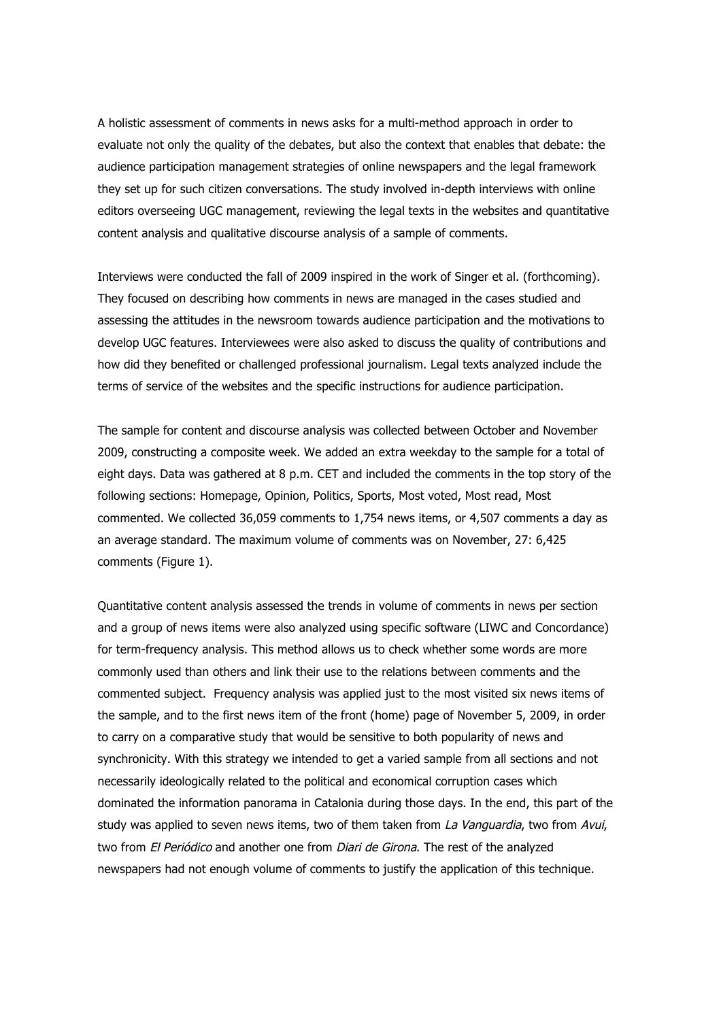A holistic assessment of comments in news asks for a multi-method approach in order to evaluate not only the quality of the debates, but also the context that enables that debate: the audience participation management strategies of online newspapers and the legal framework they set up for such citizen conversations. The study involved in-depth interviews with online editors overseeing UGC management, reviewing the legal texts in the websites and quantitative content analysis and qualitative discourse analysis of a sample of comments.

Interviews were conducted the fall of 2009 inspired in the work of Singer et al. (forthcoming). They focused on describing how comments in news are managed in the cases studied and assessing the attitudes in the newsroom towards audience participation and the motivations to develop UGC features. Interviewees were also asked to discuss the quality of contributions and how did they benefited or challenged professional journalism. Legal texts analyzed include the terms of service of the websites and the specific instructions for audience participation.

The sample for content and discourse analysis was collected between October and November 2009, constructing a composite week. We added an extra weekday to the sample for a total of eight days. Data was gathered at 8 p.m. CET and included the comments in the top story of the following sections: Homepage, Opinion, Politics, Sports, Most voted, Most read, Most commented. We collected 36,059 comments to 1,754 news items, or 4,507 comments a day as an average standard. The maximum volume of comments was on November, 27: 6,425 comments (Figure 1).

Quantitative content analysis assessed the trends in volume of comments in news per section and a group of news items were also analyzed using specific software (LIWC and Concordance) for term-frequency analysis. This method allows us to check whether some words are more commonly used than others and link their use to the relations between comments and the commented subject. Frequency analysis was applied just to the most visited six news items of the sample, and to the first news item of the front (home) page of November 5, 2009, in order to carry on a comparative study that would be sensitive to both popularity of news and synchronicity. With this strategy we intended to get a varied sample from all sections and not necessarily ideologically related to the political and economical corruption cases which dominated the information panorama in Catalonia during those days. In the end, this part of the study was applied to seven news items, two of them taken from La Vanguardia, two from Avui, two from *El Periódico* and another one from *Diari de Girona*. The rest of the analyzed newspapers had not enough volume of comments to justify the application of this technique.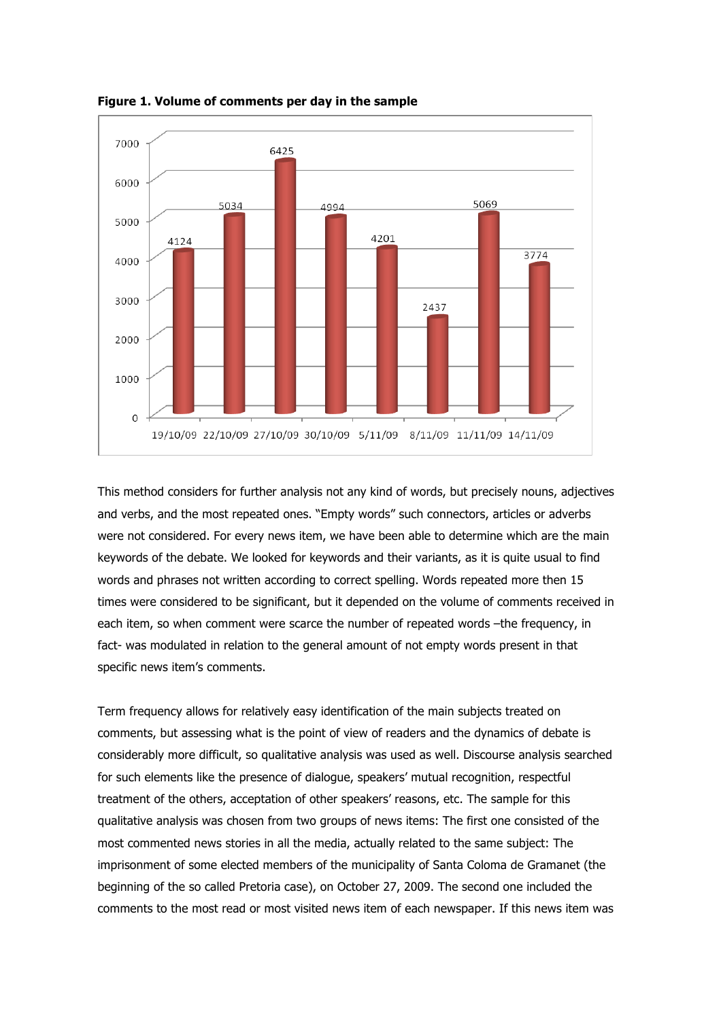

**Figure 1. Volume of comments per day in the sample**

This method considers for further analysis not any kind of words, but precisely nouns, adjectives and verbs, and the most repeated ones. "Empty words" such connectors, articles or adverbs were not considered. For every news item, we have been able to determine which are the main keywords of the debate. We looked for keywords and their variants, as it is quite usual to find words and phrases not written according to correct spelling. Words repeated more then 15 times were considered to be significant, but it depended on the volume of comments received in each item, so when comment were scarce the number of repeated words -the frequency, in fact- was modulated in relation to the general amount of not empty words present in that specific news item's comments.

Term frequency allows for relatively easy identification of the main subjects treated on comments, but assessing what is the point of view of readers and the dynamics of debate is considerably more difficult, so qualitative analysis was used as well. Discourse analysis searched for such elements like the presence of dialogue, speakers' mutual recognition, respectful treatment of the others, acceptation of other speakers' reasons, etc. The sample for this qualitative analysis was chosen from two groups of news items: The first one consisted of the most commented news stories in all the media, actually related to the same subject: The imprisonment of some elected members of the municipality of Santa Coloma de Gramanet (the beginning of the so called Pretoria case), on October 27, 2009. The second one included the comments to the most read or most visited news item of each newspaper. If this news item was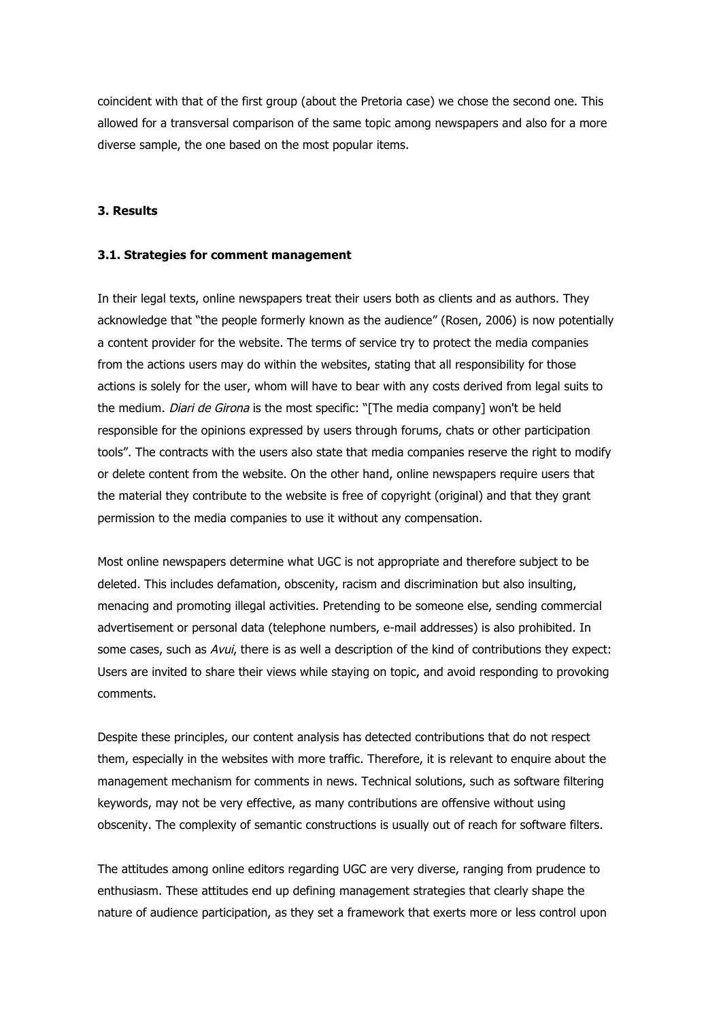coincident with that of the first group (about the Pretoria case) we chose the second one. This allowed for a transversal comparison of the same topic among newspapers and also for a more diverse sample, the one based on the most popular items.

#### **3. Results**

#### **3.1. Strategies for comment management**

In their legal texts, online newspapers treat their users both as clients and as authors. They acknowledge that "the people formerly known as the audience" (Rosen, 2006) is now potentially a content provider for the website. The terms of service try to protect the media companies from the actions users may do within the websites, stating that all responsibility for those actions is solely for the user, whom will have to bear with any costs derived from legal suits to the medium. *Diari de Girona* is the most specific: "[The media company] won't be held responsible for the opinions expressed by users through forums, chats or other participation tools". The contracts with the users also state that media companies reserve the right to modify or delete content from the website. On the other hand, online newspapers require users that the material they contribute to the website is free of copyright (original) and that they grant permission to the media companies to use it without any compensation.

Most online newspapers determine what UGC is not appropriate and therefore subject to be deleted. This includes defamation, obscenity, racism and discrimination but also insulting, menacing and promoting illegal activities. Pretending to be someone else, sending commercial advertisement or personal data (telephone numbers, e-mail addresses) is also prohibited. In some cases, such as Avui, there is as well a description of the kind of contributions they expect: Users are invited to share their views while staying on topic, and avoid responding to provoking comments.

Despite these principles, our content analysis has detected contributions that do not respect them, especially in the websites with more traffic. Therefore, it is relevant to enquire about the management mechanism for comments in news. Technical solutions, such as software filtering keywords, may not be very effective, as many contributions are offensive without using obscenity. The complexity of semantic constructions is usually out of reach for software filters.

The attitudes among online editors regarding UGC are very diverse, ranging from prudence to enthusiasm. These attitudes end up defining management strategies that clearly shape the nature of audience participation, as they set a framework that exerts more or less control upon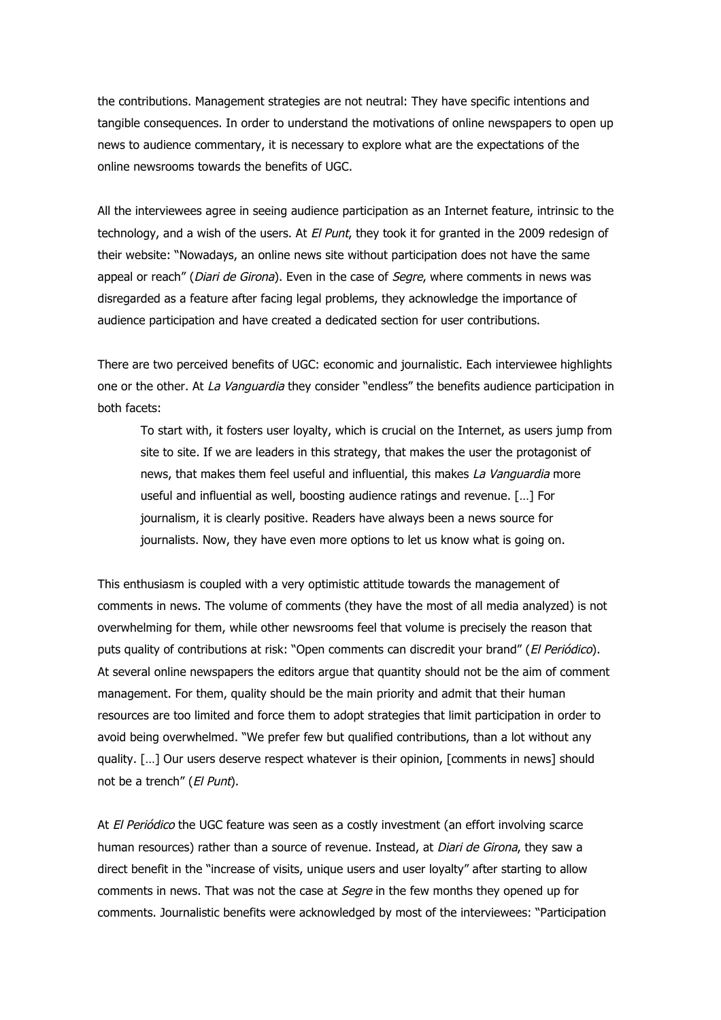the contributions. Management strategies are not neutral: They have specific intentions and tangible consequences. In order to understand the motivations of online newspapers to open up news to audience commentary, it is necessary to explore what are the expectations of the online newsrooms towards the benefits of UGC.

All the interviewees agree in seeing audience participation as an Internet feature, intrinsic to the technology, and a wish of the users. At *El Punt*, they took it for granted in the 2009 redesign of their website: "Nowadays, an online news site without participation does not have the same appeal or reach" (Diari de Girona). Even in the case of Segre, where comments in news was disregarded as a feature after facing legal problems, they acknowledge the importance of audience participation and have created a dedicated section for user contributions.

There are two perceived benefits of UGC: economic and journalistic. Each interviewee highlights one or the other. At La Vanguardia they consider "endless" the benefits audience participation in both facets:

To start with, it fosters user loyalty, which is crucial on the Internet, as users jump from site to site. If we are leaders in this strategy, that makes the user the protagonist of news, that makes them feel useful and influential, this makes La Vanguardia more useful and influential as well, boosting audience ratings and revenue. […] For journalism, it is clearly positive. Readers have always been a news source for journalists. Now, they have even more options to let us know what is going on.

This enthusiasm is coupled with a very optimistic attitude towards the management of comments in news. The volume of comments (they have the most of all media analyzed) is not overwhelming for them, while other newsrooms feel that volume is precisely the reason that puts quality of contributions at risk: "Open comments can discredit your brand" (El Periódico). At several online newspapers the editors argue that quantity should not be the aim of comment management. For them, quality should be the main priority and admit that their human resources are too limited and force them to adopt strategies that limit participation in order to avoid being overwhelmed. "We prefer few but qualified contributions, than a lot without any quality. […] Our users deserve respect whatever is their opinion, [comments in news] should not be a trench" (El Punt).

At El Periódico the UGC feature was seen as a costly investment (an effort involving scarce human resources) rather than a source of revenue. Instead, at *Diari de Girona*, they saw a direct benefit in the "increase of visits, unique users and user loyalty" after starting to allow comments in news. That was not the case at *Segre* in the few months they opened up for comments. Journalistic benefits were acknowledged by most of the interviewees: "Participation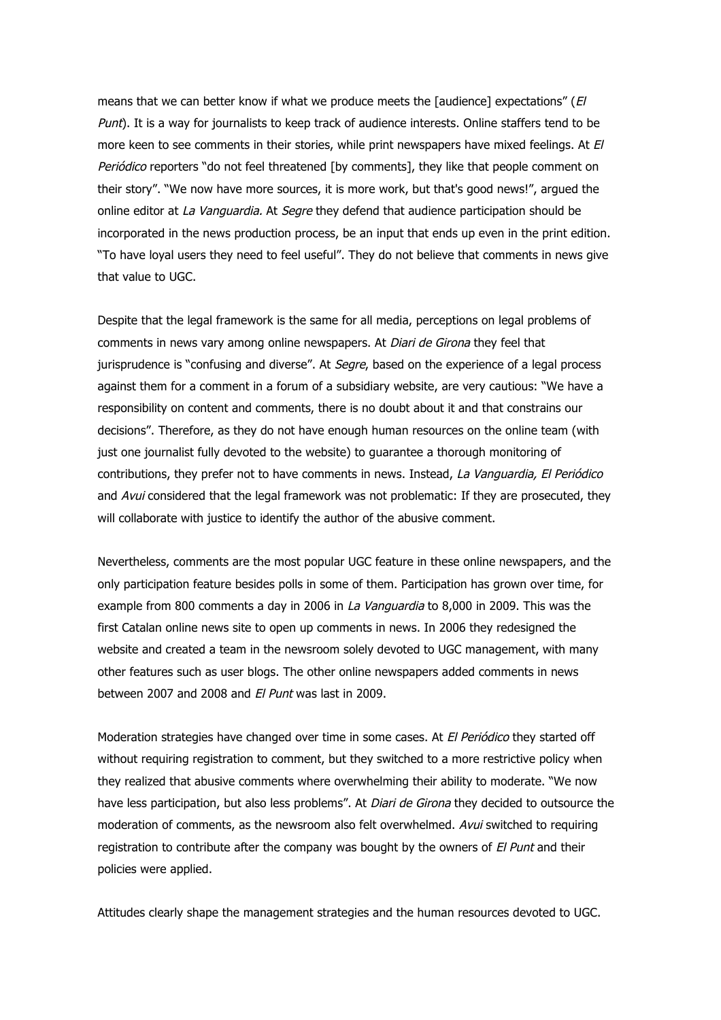means that we can better know if what we produce meets the [audience] expectations" (E) Punt). It is a way for journalists to keep track of audience interests. Online staffers tend to be more keen to see comments in their stories, while print newspapers have mixed feelings. At El Periódico reporters "do not feel threatened [by comments], they like that people comment on their story". "We now have more sources, it is more work, but that's good news!", argued the online editor at La Vanguardia. At Segre they defend that audience participation should be incorporated in the news production process, be an input that ends up even in the print edition. "To have loyal users they need to feel useful". They do not believe that comments in news give that value to UGC.

Despite that the legal framework is the same for all media, perceptions on legal problems of comments in news vary among online newspapers. At *Diari de Girona* they feel that jurisprudence is "confusing and diverse". At Segre, based on the experience of a legal process against them for a comment in a forum of a subsidiary website, are very cautious: "We have a responsibility on content and comments, there is no doubt about it and that constrains our decisions". Therefore, as they do not have enough human resources on the online team (with just one journalist fully devoted to the website) to guarantee a thorough monitoring of contributions, they prefer not to have comments in news. Instead, La Vanguardia, El Periódico and Avui considered that the legal framework was not problematic: If they are prosecuted, they will collaborate with justice to identify the author of the abusive comment.

Nevertheless, comments are the most popular UGC feature in these online newspapers, and the only participation feature besides polls in some of them. Participation has grown over time, for example from 800 comments a day in 2006 in La Vanguardia to 8,000 in 2009. This was the first Catalan online news site to open up comments in news. In 2006 they redesigned the website and created a team in the newsroom solely devoted to UGC management, with many other features such as user blogs. The other online newspapers added comments in news between 2007 and 2008 and El Punt was last in 2009.

Moderation strategies have changed over time in some cases. At *El Periódico* they started off without requiring registration to comment, but they switched to a more restrictive policy when they realized that abusive comments where overwhelming their ability to moderate. "We now have less participation, but also less problems". At *Diari de Girona* they decided to outsource the moderation of comments, as the newsroom also felt overwhelmed. Avui switched to requiring registration to contribute after the company was bought by the owners of El Punt and their policies were applied.

Attitudes clearly shape the management strategies and the human resources devoted to UGC.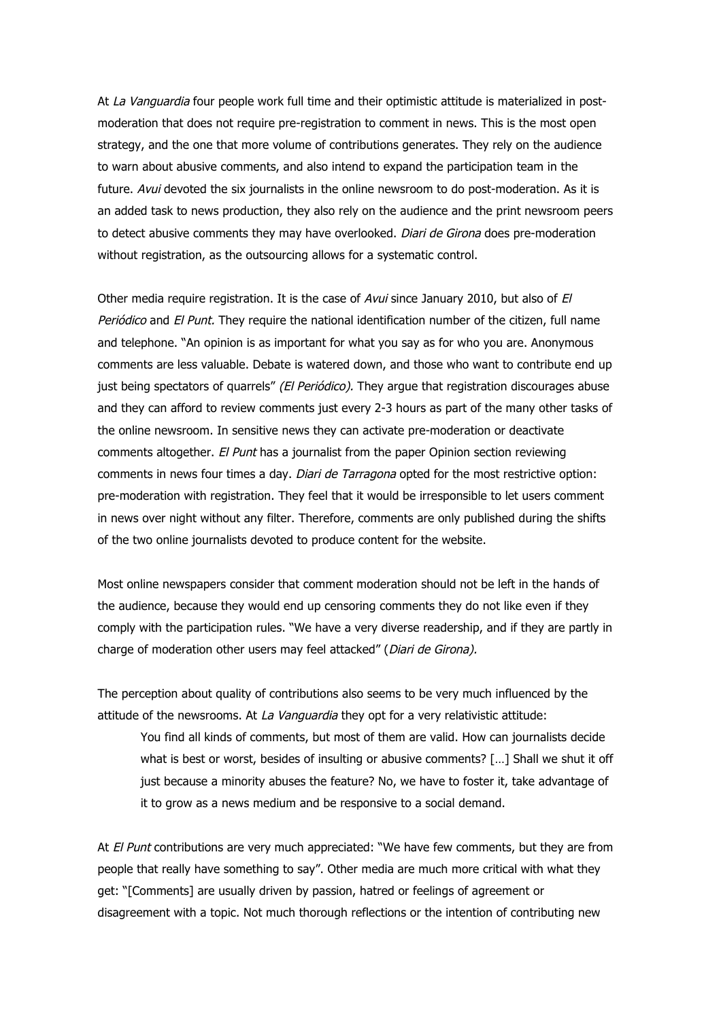At La Vanguardia four people work full time and their optimistic attitude is materialized in postmoderation that does not require pre-registration to comment in news. This is the most open strategy, and the one that more volume of contributions generates. They rely on the audience to warn about abusive comments, and also intend to expand the participation team in the future. Avui devoted the six journalists in the online newsroom to do post-moderation. As it is an added task to news production, they also rely on the audience and the print newsroom peers to detect abusive comments they may have overlooked. Diari de Girona does pre-moderation without registration, as the outsourcing allows for a systematic control.

Other media require registration. It is the case of Avui since January 2010, but also of El Periódico and El Punt. They require the national identification number of the citizen, full name and telephone. "An opinion is as important for what you say as for who you are. Anonymous comments are less valuable. Debate is watered down, and those who want to contribute end up just being spectators of quarrels" (El Periódico). They argue that registration discourages abuse and they can afford to review comments just every 2-3 hours as part of the many other tasks of the online newsroom. In sensitive news they can activate pre-moderation or deactivate comments altogether. El Punt has a journalist from the paper Opinion section reviewing comments in news four times a day. Diari de Tarragona opted for the most restrictive option: pre-moderation with registration. They feel that it would be irresponsible to let users comment in news over night without any filter. Therefore, comments are only published during the shifts of the two online journalists devoted to produce content for the website.

Most online newspapers consider that comment moderation should not be left in the hands of the audience, because they would end up censoring comments they do not like even if they comply with the participation rules. "We have a very diverse readership, and if they are partly in charge of moderation other users may feel attacked" (Diari de Girona).

The perception about quality of contributions also seems to be very much influenced by the attitude of the newsrooms. At La Vanguardia they opt for a very relativistic attitude:

You find all kinds of comments, but most of them are valid. How can journalists decide what is best or worst, besides of insulting or abusive comments? […] Shall we shut it off just because a minority abuses the feature? No, we have to foster it, take advantage of it to grow as a news medium and be responsive to a social demand.

At El Punt contributions are very much appreciated: "We have few comments, but they are from people that really have something to say". Other media are much more critical with what they get: "[Comments] are usually driven by passion, hatred or feelings of agreement or disagreement with a topic. Not much thorough reflections or the intention of contributing new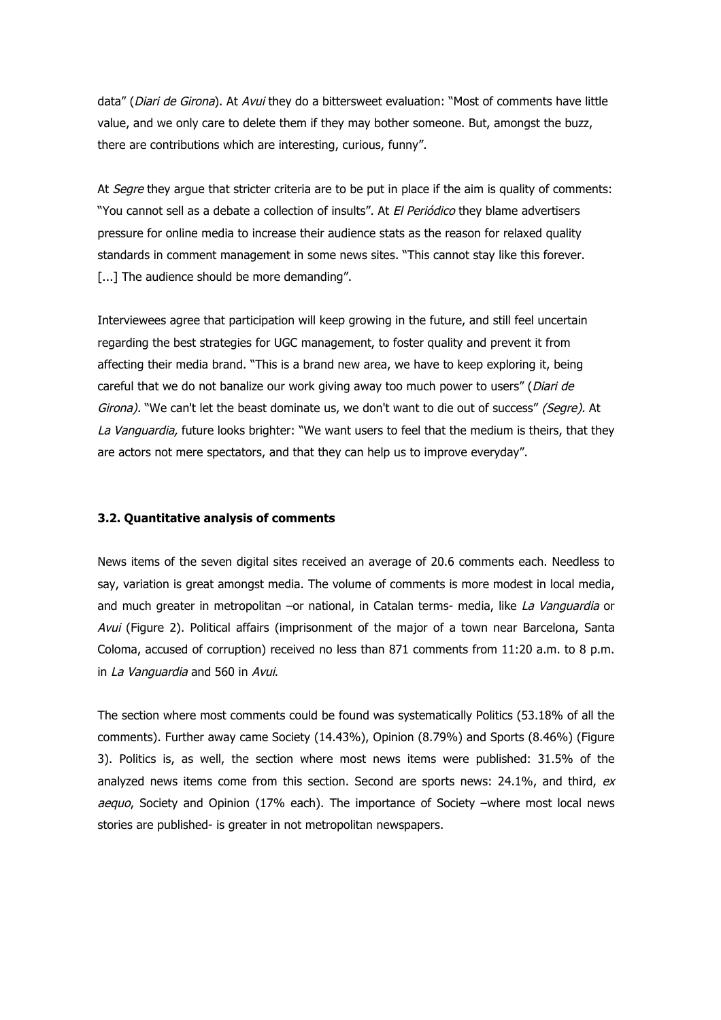data" (*Diari de Girona*). At Avui they do a bittersweet evaluation: "Most of comments have little value, and we only care to delete them if they may bother someone. But, amongst the buzz, there are contributions which are interesting, curious, funny".

At Segre they argue that stricter criteria are to be put in place if the aim is quality of comments: "You cannot sell as a debate a collection of insults". At El Periódico they blame advertisers pressure for online media to increase their audience stats as the reason for relaxed quality standards in comment management in some news sites. "This cannot stay like this forever. [...] The audience should be more demanding".

Interviewees agree that participation will keep growing in the future, and still feel uncertain regarding the best strategies for UGC management, to foster quality and prevent it from affecting their media brand. "This is a brand new area, we have to keep exploring it, being careful that we do not banalize our work giving away too much power to users" (Diari de Girona). "We can't let the beast dominate us, we don't want to die out of success" (Seare). At La Vanguardia, future looks brighter: "We want users to feel that the medium is theirs, that they are actors not mere spectators, and that they can help us to improve everyday".

### **3.2. Quantitative analysis of comments**

News items of the seven digital sites received an average of 20.6 comments each. Needless to say, variation is great amongst media. The volume of comments is more modest in local media, and much greater in metropolitan –or national, in Catalan terms- media, like La Vanguardia or Avui (Figure 2). Political affairs (imprisonment of the major of a town near Barcelona, Santa Coloma, accused of corruption) received no less than 871 comments from 11:20 a.m. to 8 p.m. in La Vanguardia and 560 in Avui.

The section where most comments could be found was systematically Politics (53.18% of all the comments). Further away came Society (14.43%), Opinion (8.79%) and Sports (8.46%) (Figure 3). Politics is, as well, the section where most news items were published: 31.5% of the analyzed news items come from this section. Second are sports news:  $24.1\%$ , and third, ex aequo, Society and Opinion (17% each). The importance of Society –where most local news stories are published- is greater in not metropolitan newspapers.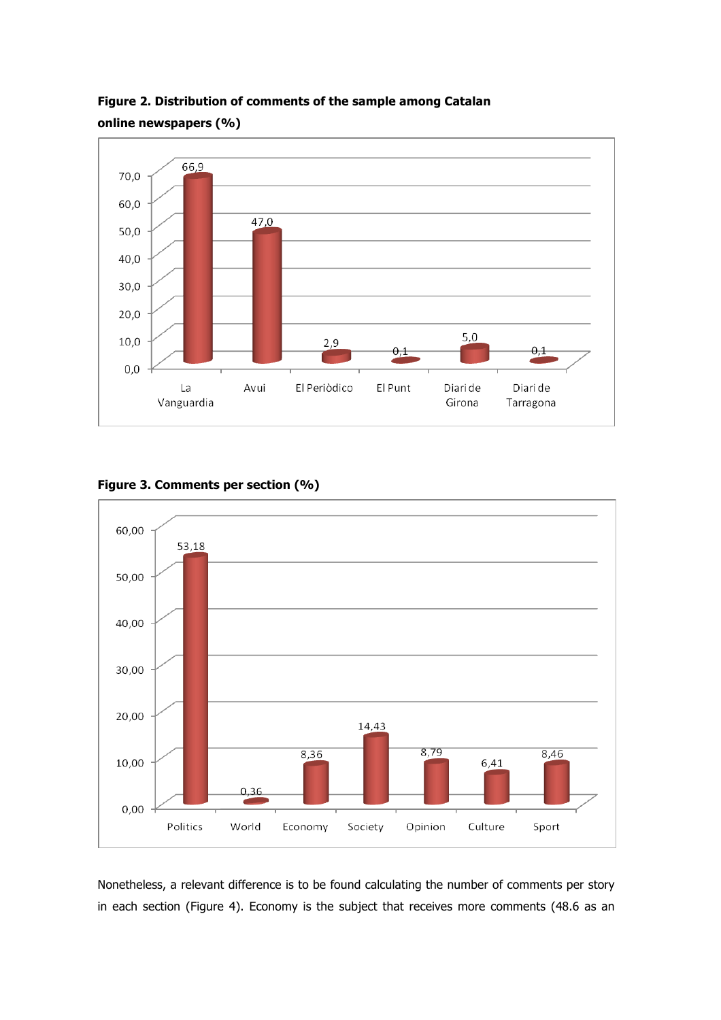

**Figure 2. Distribution of comments of the sample among Catalan online newspapers (%)**





Nonetheless, a relevant difference is to be found calculating the number of comments per story in each section (Figure 4). Economy is the subject that receives more comments (48.6 as an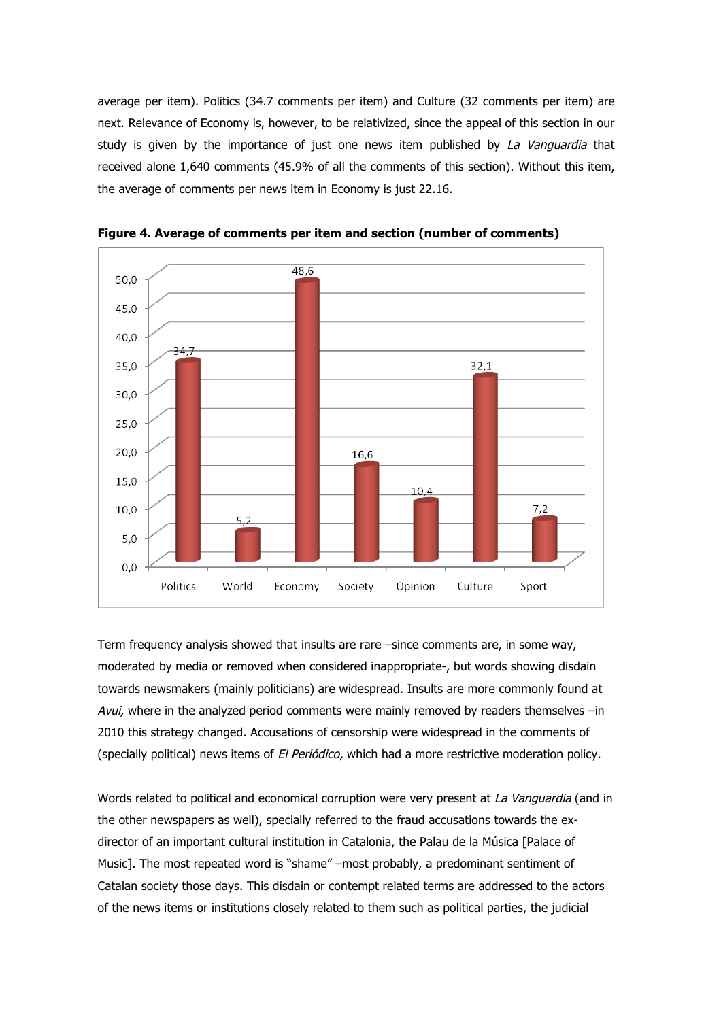average per item). Politics (34.7 comments per item) and Culture (32 comments per item) are next. Relevance of Economy is, however, to be relativized, since the appeal of this section in our study is given by the importance of just one news item published by La Vanguardia that received alone 1,640 comments (45.9% of all the comments of this section). Without this item, the average of comments per news item in Economy is just 22.16.



**Figure 4. Average of comments per item and section (number of comments)**

Term frequency analysis showed that insults are rare –since comments are, in some way, moderated by media or removed when considered inappropriate-, but words showing disdain towards newsmakers (mainly politicians) are widespread. Insults are more commonly found at Avui, where in the analyzed period comments were mainly removed by readers themselves –in 2010 this strategy changed. Accusations of censorship were widespread in the comments of (specially political) news items of El Periódico, which had a more restrictive moderation policy.

Words related to political and economical corruption were very present at La Vanguardia (and in the other newspapers as well), specially referred to the fraud accusations towards the exdirector of an important cultural institution in Catalonia, the Palau de la Música [Palace of Music]. The most repeated word is "shame" –most probably, a predominant sentiment of Catalan society those days. This disdain or contempt related terms are addressed to the actors of the news items or institutions closely related to them such as political parties, the judicial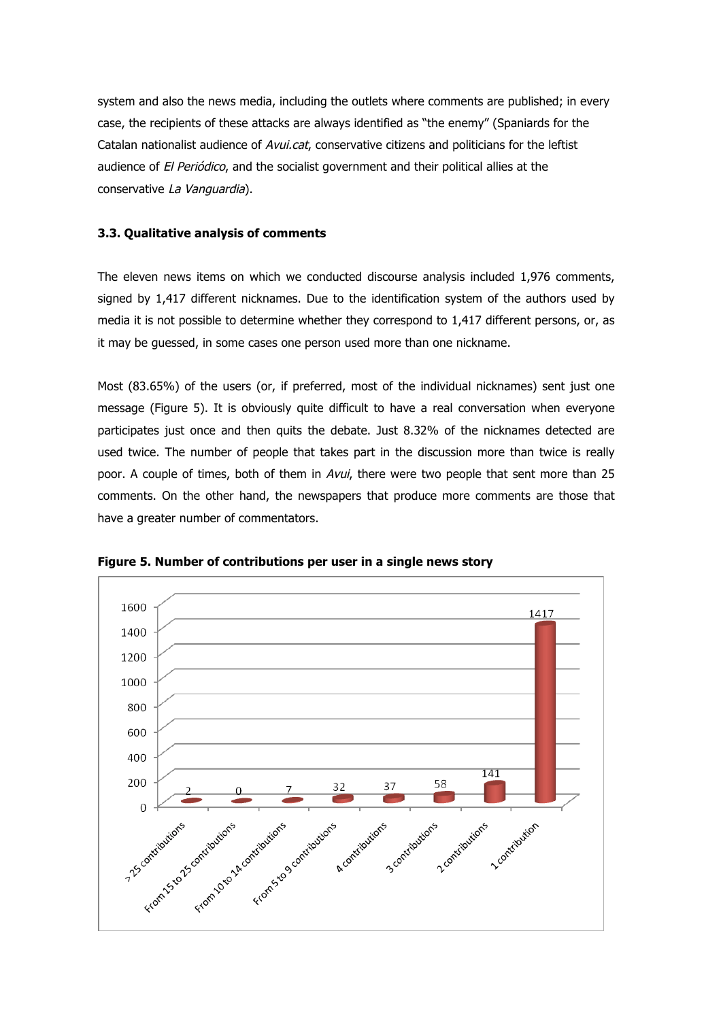system and also the news media, including the outlets where comments are published; in every case, the recipients of these attacks are always identified as "the enemy" (Spaniards for the Catalan nationalist audience of Avui.cat, conservative citizens and politicians for the leftist audience of El Periódico, and the socialist government and their political allies at the conservative La Vanguardia).

## **3.3. Qualitative analysis of comments**

The eleven news items on which we conducted discourse analysis included 1,976 comments, signed by 1,417 different nicknames. Due to the identification system of the authors used by media it is not possible to determine whether they correspond to 1,417 different persons, or, as it may be guessed, in some cases one person used more than one nickname.

Most (83.65%) of the users (or, if preferred, most of the individual nicknames) sent just one message (Figure 5). It is obviously quite difficult to have a real conversation when everyone participates just once and then quits the debate. Just 8.32% of the nicknames detected are used twice. The number of people that takes part in the discussion more than twice is really poor. A couple of times, both of them in Avui, there were two people that sent more than 25 comments. On the other hand, the newspapers that produce more comments are those that have a greater number of commentators.



**Figure 5. Number of contributions per user in a single news story**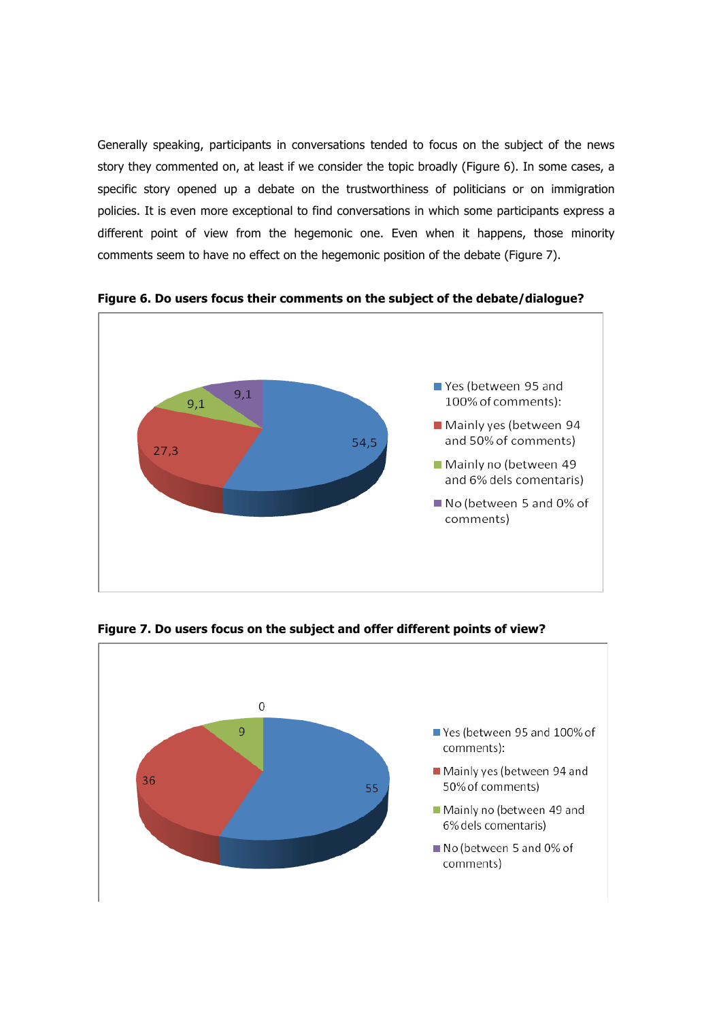Generally speaking, participants in conversations tended to focus on the subject of the news story they commented on, at least if we consider the topic broadly (Figure 6). In some cases, a specific story opened up a debate on the trustworthiness of politicians or on immigration policies. It is even more exceptional to find conversations in which some participants express a different point of view from the hegemonic one. Even when it happens, those minority comments seem to have no effect on the hegemonic position of the debate (Figure 7).



**Figure 6. Do users focus their comments on the subject of the debate/dialogue?**



**Figure 7. Do users focus on the subject and offer different points of view?**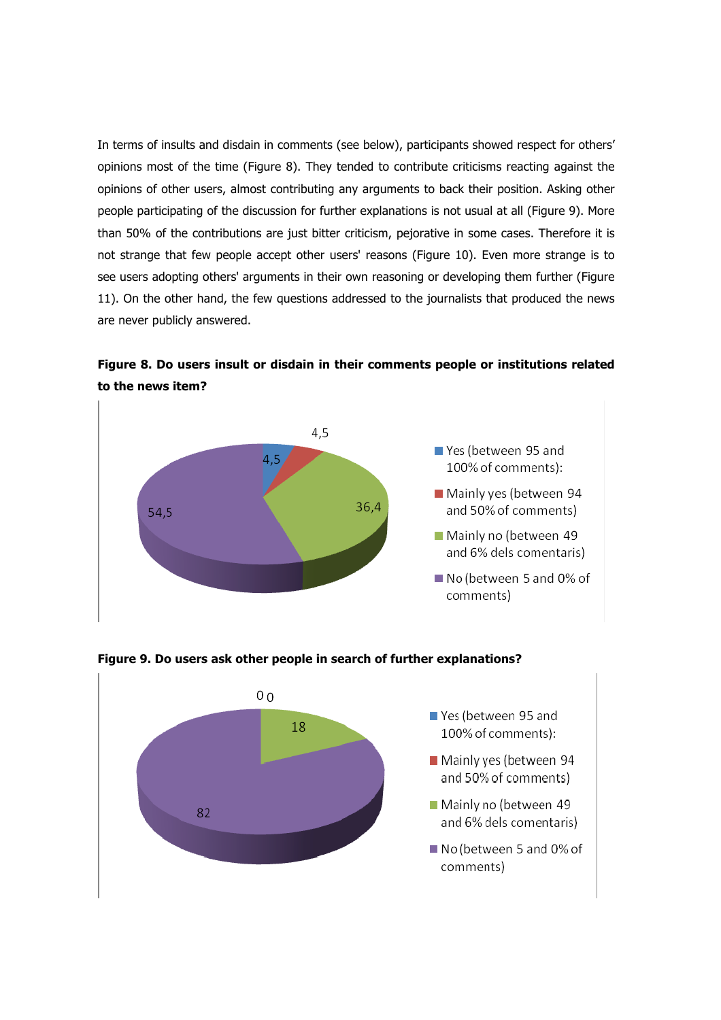In terms of insults and disdain in comments (see below), participants showed respect for others' opinions most of the time (Figure 8). They tended to contribute criticisms reacting against the opinions of other users, almost contributing any arguments to back their position. Asking other people participating of the discussion for further explanations is not usual at all (Figure 9). More than 50% of the contributions are just bitter criticism, pejorative in some cases. Therefore it is not strange that few people accept other users' reasons (Figure 10). Even more strange is to see users adopting others' arguments in their own reasoning or developing them further (Figure 11). On the other hand, the few questions addressed to the journalists that produced the news are never publicly answered.

**Figure 8. Do users insult or disdain in their comments people or institutions related to the news item?**





**Figure 9. Do users ask other people in search of further explanations?**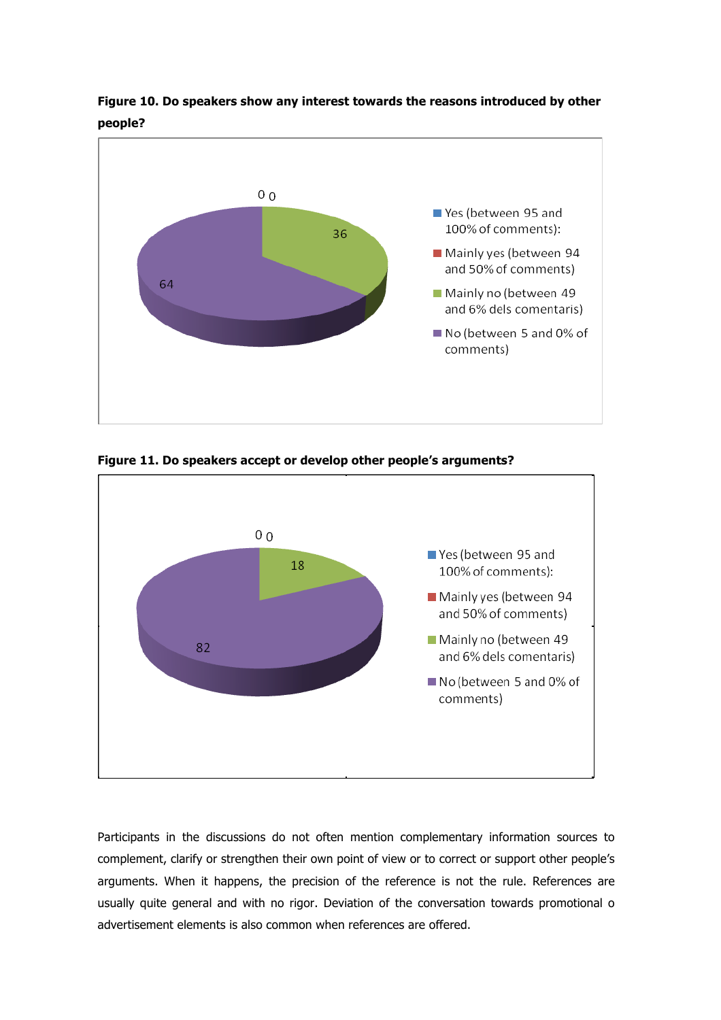

**Figure 10. Do speakers show any interest towards the reasons introduced by other people?**

**Figure 11. Do speakers accept or develop other people's arguments?**



Participants in the discussions do not often mention complementary information sources to complement, clarify or strengthen their own point of view or to correct or support other people's arguments. When it happens, the precision of the reference is not the rule. References are usually quite general and with no rigor. Deviation of the conversation towards promotional o advertisement elements is also common when references are offered.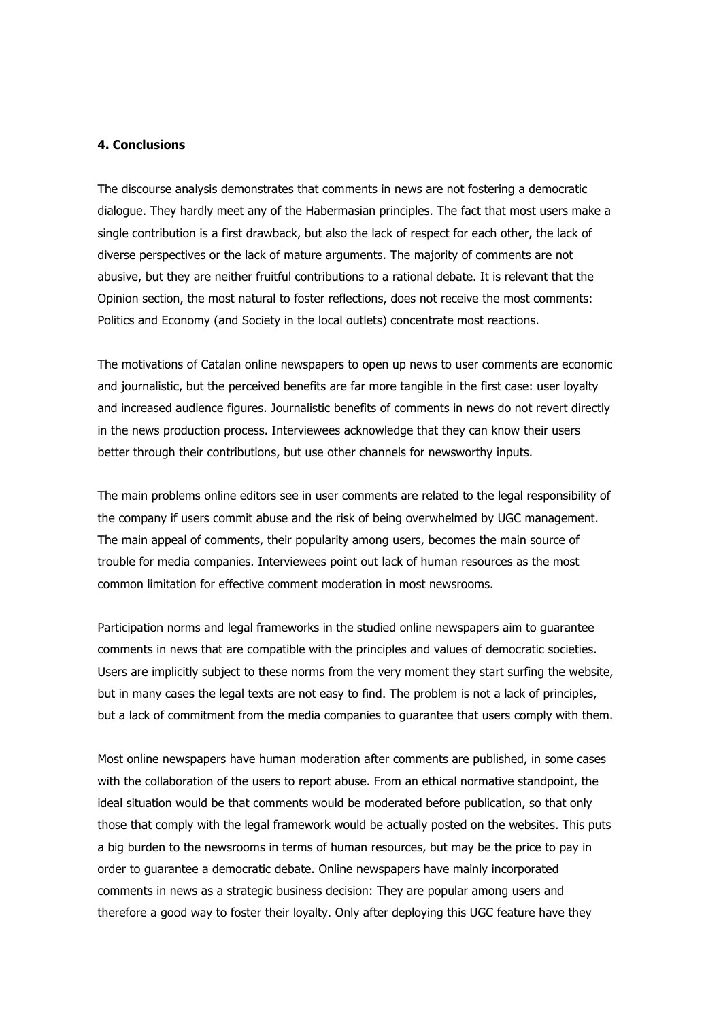#### **4. Conclusions**

The discourse analysis demonstrates that comments in news are not fostering a democratic dialogue. They hardly meet any of the Habermasian principles. The fact that most users make a single contribution is a first drawback, but also the lack of respect for each other, the lack of diverse perspectives or the lack of mature arguments. The majority of comments are not abusive, but they are neither fruitful contributions to a rational debate. It is relevant that the Opinion section, the most natural to foster reflections, does not receive the most comments: Politics and Economy (and Society in the local outlets) concentrate most reactions.

The motivations of Catalan online newspapers to open up news to user comments are economic and journalistic, but the perceived benefits are far more tangible in the first case: user loyalty and increased audience figures. Journalistic benefits of comments in news do not revert directly in the news production process. Interviewees acknowledge that they can know their users better through their contributions, but use other channels for newsworthy inputs.

The main problems online editors see in user comments are related to the legal responsibility of the company if users commit abuse and the risk of being overwhelmed by UGC management. The main appeal of comments, their popularity among users, becomes the main source of trouble for media companies. Interviewees point out lack of human resources as the most common limitation for effective comment moderation in most newsrooms.

Participation norms and legal frameworks in the studied online newspapers aim to guarantee comments in news that are compatible with the principles and values of democratic societies. Users are implicitly subject to these norms from the very moment they start surfing the website, but in many cases the legal texts are not easy to find. The problem is not a lack of principles, but a lack of commitment from the media companies to guarantee that users comply with them.

Most online newspapers have human moderation after comments are published, in some cases with the collaboration of the users to report abuse. From an ethical normative standpoint, the ideal situation would be that comments would be moderated before publication, so that only those that comply with the legal framework would be actually posted on the websites. This puts a big burden to the newsrooms in terms of human resources, but may be the price to pay in order to guarantee a democratic debate. Online newspapers have mainly incorporated comments in news as a strategic business decision: They are popular among users and therefore a good way to foster their loyalty. Only after deploying this UGC feature have they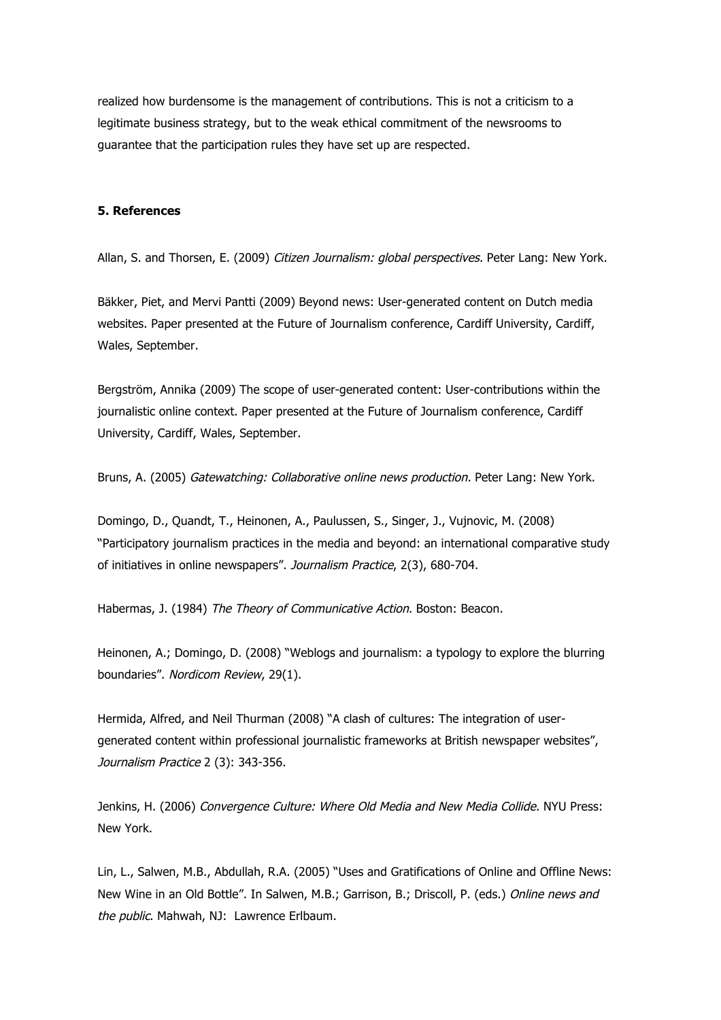realized how burdensome is the management of contributions. This is not a criticism to a legitimate business strategy, but to the weak ethical commitment of the newsrooms to guarantee that the participation rules they have set up are respected.

#### **5. References**

Allan, S. and Thorsen, E. (2009) Citizen Journalism: global perspectives. Peter Lang: New York.

Bäkker, Piet, and Mervi Pantti (2009) Beyond news: User-generated content on Dutch media websites. Paper presented at the Future of Journalism conference, Cardiff University, Cardiff, Wales, September.

Bergström, Annika (2009) The scope of user-generated content: User-contributions within the journalistic online context. Paper presented at the Future of Journalism conference, Cardiff University, Cardiff, Wales, September.

Bruns, A. (2005) Gatewatching: Collaborative online news production. Peter Lang: New York.

Domingo, D., Quandt, T., Heinonen, A., Paulussen, S., Singer, J., Vujnovic, M. (2008) "Participatory journalism practices in the media and beyond: an international comparative study of initiatives in online newspapers". Journalism Practice, 2(3), 680-704.

Habermas, J. (1984) The Theory of Communicative Action. Boston: Beacon.

Heinonen, A.; Domingo, D. (2008) "Weblogs and journalism: a typology to explore the blurring boundaries". Nordicom Review, 29(1).

Hermida, Alfred, and Neil Thurman (2008) "A clash of cultures: The integration of usergenerated content within professional journalistic frameworks at British newspaper websites", Journalism Practice 2 (3): 343-356.

Jenkins, H. (2006) Convergence Culture: Where Old Media and New Media Collide. NYU Press: New York.

Lin, L., Salwen, M.B., Abdullah, R.A. (2005) "Uses and Gratifications of Online and Offline News: New Wine in an Old Bottle". In Salwen, M.B.; Garrison, B.; Driscoll, P. (eds.) Online news and the public. Mahwah, NJ: Lawrence Erlbaum.